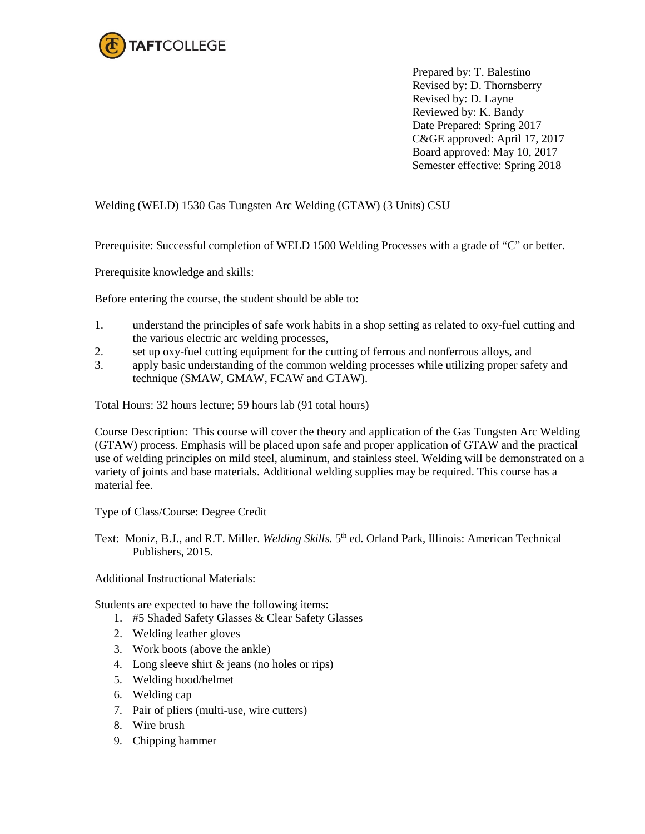

Prepared by: T. Balestino Revised by: D. Thornsberry Revised by: D. Layne Reviewed by: K. Bandy Date Prepared: Spring 2017 C&GE approved: April 17, 2017 Board approved: May 10, 2017 Semester effective: Spring 2018

## Welding (WELD) 1530 Gas Tungsten Arc Welding (GTAW) (3 Units) CSU

Prerequisite: Successful completion of WELD 1500 Welding Processes with a grade of "C" or better.

Prerequisite knowledge and skills:

Before entering the course, the student should be able to:

- 1. understand the principles of safe work habits in a shop setting as related to oxy-fuel cutting and the various electric arc welding processes,
- 2. set up oxy-fuel cutting equipment for the cutting of ferrous and nonferrous alloys, and
- 3. apply basic understanding of the common welding processes while utilizing proper safety and technique (SMAW, GMAW, FCAW and GTAW).

Total Hours: 32 hours lecture; 59 hours lab (91 total hours)

Course Description: This course will cover the theory and application of the Gas Tungsten Arc Welding (GTAW) process. Emphasis will be placed upon safe and proper application of GTAW and the practical use of welding principles on mild steel, aluminum, and stainless steel. Welding will be demonstrated on a variety of joints and base materials. Additional welding supplies may be required. This course has a material fee.

Type of Class/Course: Degree Credit

Text: Moniz, B.J., and R.T. Miller. *Welding Skills.* 5th ed. Orland Park, Illinois: American Technical Publishers, 2015.

Additional Instructional Materials:

Students are expected to have the following items:

- 1. #5 Shaded Safety Glasses & Clear Safety Glasses
- 2. Welding leather gloves
- 3. Work boots (above the ankle)
- 4. Long sleeve shirt & jeans (no holes or rips)
- 5. Welding hood/helmet
- 6. Welding cap
- 7. Pair of pliers (multi-use, wire cutters)
- 8. Wire brush
- 9. Chipping hammer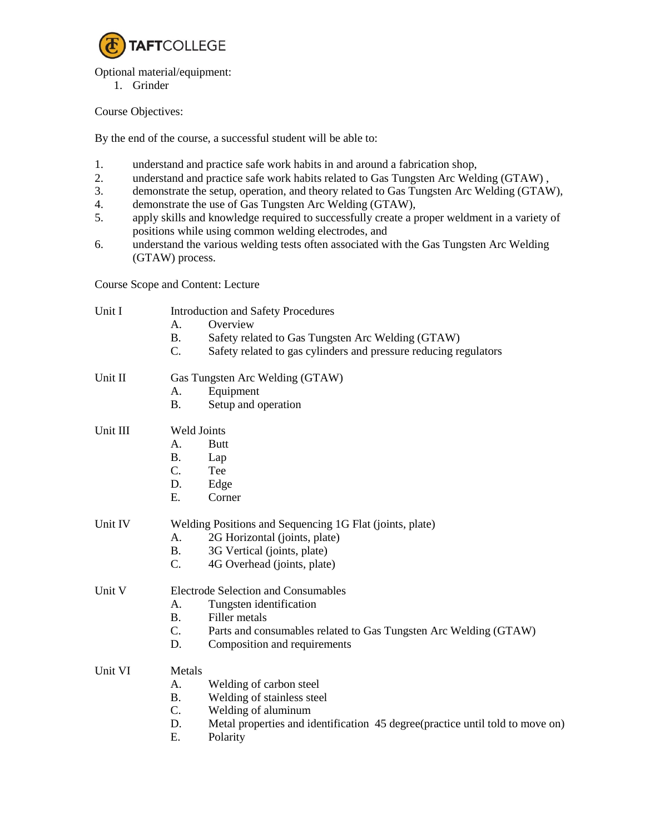

Optional material/equipment:

1. Grinder

Course Objectives:

By the end of the course, a successful student will be able to:

- 1. understand and practice safe work habits in and around a fabrication shop,
- 2. understand and practice safe work habits related to Gas Tungsten Arc Welding (GTAW) ,
- 3. demonstrate the setup, operation, and theory related to Gas Tungsten Arc Welding (GTAW),
- 4. demonstrate the use of Gas Tungsten Arc Welding (GTAW),
- 5. apply skills and knowledge required to successfully create a proper weldment in a variety of positions while using common welding electrodes, and
- 6. understand the various welding tests often associated with the Gas Tungsten Arc Welding (GTAW) process.

Course Scope and Content: Lecture

| Unit I   | <b>Introduction and Safety Procedures</b>                                           |  |  |
|----------|-------------------------------------------------------------------------------------|--|--|
|          | Overview<br>A.                                                                      |  |  |
|          | <b>B.</b><br>Safety related to Gas Tungsten Arc Welding (GTAW)                      |  |  |
|          | C.<br>Safety related to gas cylinders and pressure reducing regulators              |  |  |
| Unit II  | Gas Tungsten Arc Welding (GTAW)                                                     |  |  |
|          | Equipment<br>А.                                                                     |  |  |
|          | <b>B.</b><br>Setup and operation                                                    |  |  |
| Unit III | <b>Weld Joints</b>                                                                  |  |  |
|          | A.<br><b>Butt</b>                                                                   |  |  |
|          | <b>B.</b><br>Lap                                                                    |  |  |
|          | $C_{\cdot}$<br>Tee                                                                  |  |  |
|          | D.<br>Edge                                                                          |  |  |
|          | E.<br>Corner                                                                        |  |  |
| Unit IV  | Welding Positions and Sequencing 1G Flat (joints, plate)                            |  |  |
|          | A.<br>2G Horizontal (joints, plate)                                                 |  |  |
|          | 3G Vertical (joints, plate)<br><b>B.</b>                                            |  |  |
|          | $C_{\cdot}$<br>4G Overhead (joints, plate)                                          |  |  |
| Unit V   | <b>Electrode Selection and Consumables</b>                                          |  |  |
|          | Tungsten identification<br>A.                                                       |  |  |
|          | <b>B.</b><br>Filler metals                                                          |  |  |
|          | $C_{\cdot}$<br>Parts and consumables related to Gas Tungsten Arc Welding (GTAW)     |  |  |
|          | D.<br>Composition and requirements                                                  |  |  |
| Unit VI  | Metals                                                                              |  |  |
|          | A.<br>Welding of carbon steel                                                       |  |  |
|          | Welding of stainless steel<br><b>B.</b>                                             |  |  |
|          | $C_{\cdot}$<br>Welding of aluminum                                                  |  |  |
|          | Metal properties and identification 45 degree(practice until told to move on)<br>D. |  |  |
|          | E.<br>Polarity                                                                      |  |  |
|          |                                                                                     |  |  |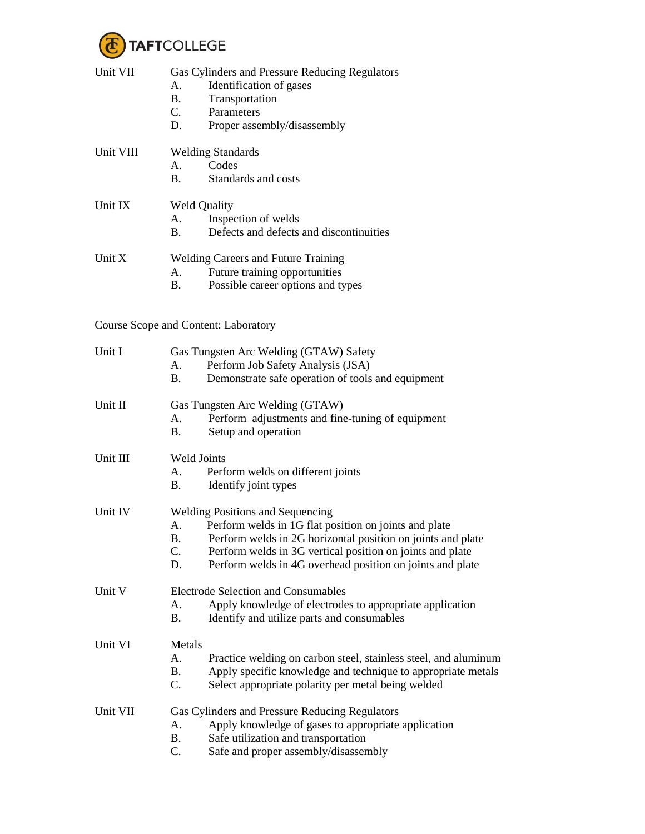

| Unit VII  | Gas Cylinders and Pressure Reducing Regulators<br>Identification of gases<br>А.<br><b>B.</b><br>Transportation<br>$C_{\cdot}$<br>Parameters<br>D.<br>Proper assembly/disassembly                                                                                                                                           |  |
|-----------|----------------------------------------------------------------------------------------------------------------------------------------------------------------------------------------------------------------------------------------------------------------------------------------------------------------------------|--|
| Unit VIII | <b>Welding Standards</b><br>Codes<br>Α.<br>Standards and costs<br><b>B.</b>                                                                                                                                                                                                                                                |  |
| Unit IX   | <b>Weld Quality</b><br>Inspection of welds<br>A.<br>Defects and defects and discontinuities<br><b>B.</b>                                                                                                                                                                                                                   |  |
| Unit X    | <b>Welding Careers and Future Training</b><br>Future training opportunities<br>А.<br>Possible career options and types<br><b>B.</b>                                                                                                                                                                                        |  |
|           | Course Scope and Content: Laboratory                                                                                                                                                                                                                                                                                       |  |
| Unit I    | Gas Tungsten Arc Welding (GTAW) Safety<br>Perform Job Safety Analysis (JSA)<br>A.<br>Demonstrate safe operation of tools and equipment<br><b>B.</b>                                                                                                                                                                        |  |
| Unit II   | Gas Tungsten Arc Welding (GTAW)<br>Perform adjustments and fine-tuning of equipment<br>А.<br>Setup and operation<br><b>B.</b>                                                                                                                                                                                              |  |
| Unit III  | Weld Joints<br>Perform welds on different joints<br>А.<br><b>B.</b><br>Identify joint types                                                                                                                                                                                                                                |  |
| Unit IV   | <b>Welding Positions and Sequencing</b><br>Perform welds in 1G flat position on joints and plate<br>А.<br>Β.<br>Perform welds in 2G horizontal position on joints and plate<br>$C_{\cdot}$<br>Perform welds in 3G vertical position on joints and plate<br>D.<br>Perform welds in 4G overhead position on joints and plate |  |
| Unit V    | <b>Electrode Selection and Consumables</b><br>Apply knowledge of electrodes to appropriate application<br>A.<br><b>B.</b><br>Identify and utilize parts and consumables                                                                                                                                                    |  |
| Unit VI   | Metals<br>A.<br>Practice welding on carbon steel, stainless steel, and aluminum<br>Apply specific knowledge and technique to appropriate metals<br><b>B.</b><br>$C_{\cdot}$<br>Select appropriate polarity per metal being welded                                                                                          |  |
| Unit VII  | Gas Cylinders and Pressure Reducing Regulators<br>Apply knowledge of gases to appropriate application<br>A.<br>Safe utilization and transportation<br><b>B.</b><br>C.<br>Safe and proper assembly/disassembly                                                                                                              |  |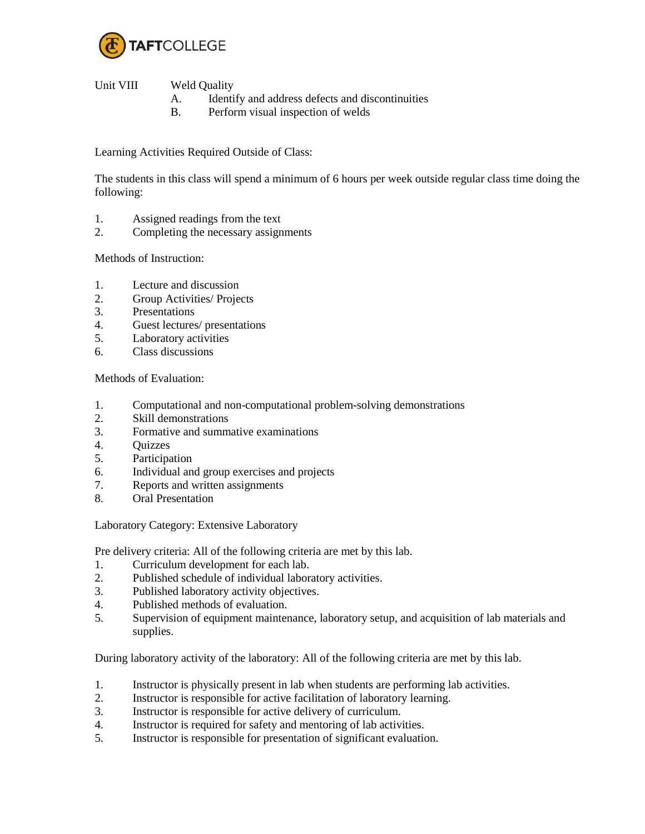

Unit VIII Weld Quality

- A. Identify and address defects and discontinuities
- B. Perform visual inspection of welds

Learning Activities Required Outside of Class:

The students in this class will spend a minimum of 6 hours per week outside regular class time doing the following:

- 1. Assigned readings from the text
- 2. Completing the necessary assignments

Methods of Instruction:

- 1. Lecture and discussion
- 2. Group Activities/ Projects
- 3. Presentations
- 4. Guest lectures/ presentations
- 5. Laboratory activities
- 6. Class discussions

Methods of Evaluation:

- 1. Computational and non-computational problem-solving demonstrations
- 2. Skill demonstrations
- 3. Formative and summative examinations
- 4. Quizzes
- 5. Participation
- 6. Individual and group exercises and projects
- 7. Reports and written assignments
- 8. Oral Presentation

Laboratory Category: Extensive Laboratory

Pre delivery criteria: All of the following criteria are met by this lab.

- 1. Curriculum development for each lab.
- 2. Published schedule of individual laboratory activities.
- 3. Published laboratory activity objectives.
- 4. Published methods of evaluation.
- 5. Supervision of equipment maintenance, laboratory setup, and acquisition of lab materials and supplies.

During laboratory activity of the laboratory: All of the following criteria are met by this lab.

- 1. Instructor is physically present in lab when students are performing lab activities.
- 2. Instructor is responsible for active facilitation of laboratory learning.
- 3. Instructor is responsible for active delivery of curriculum.
- 4. Instructor is required for safety and mentoring of lab activities.
- 5. Instructor is responsible for presentation of significant evaluation.